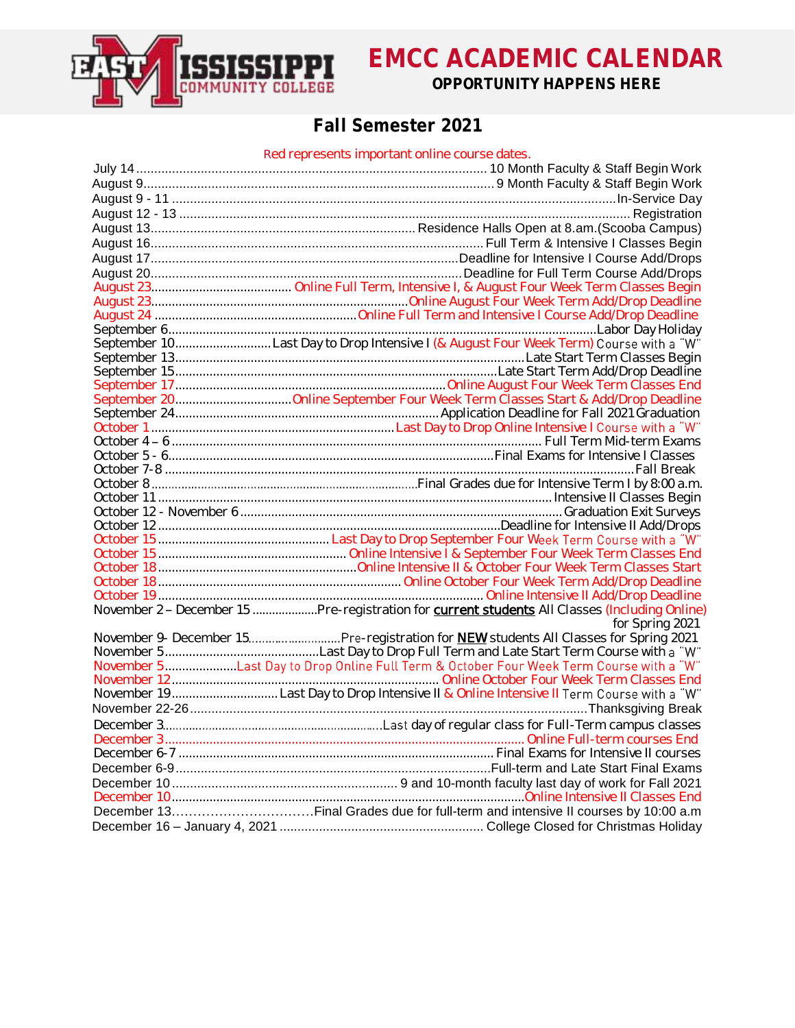

## **Fall Semester 2021**

### Red represents important online course dates.

| November 2 - December 15 Pre-registration for <b>current students</b> All Classes (Including Online) |
|------------------------------------------------------------------------------------------------------|
| for Spring 2021                                                                                      |
|                                                                                                      |
|                                                                                                      |
|                                                                                                      |
|                                                                                                      |
| November 19 Last Day to Drop Intensive II & Online Intensive II Term Course with a "W"               |
|                                                                                                      |
|                                                                                                      |
|                                                                                                      |
|                                                                                                      |
|                                                                                                      |
|                                                                                                      |
|                                                                                                      |
|                                                                                                      |
|                                                                                                      |
|                                                                                                      |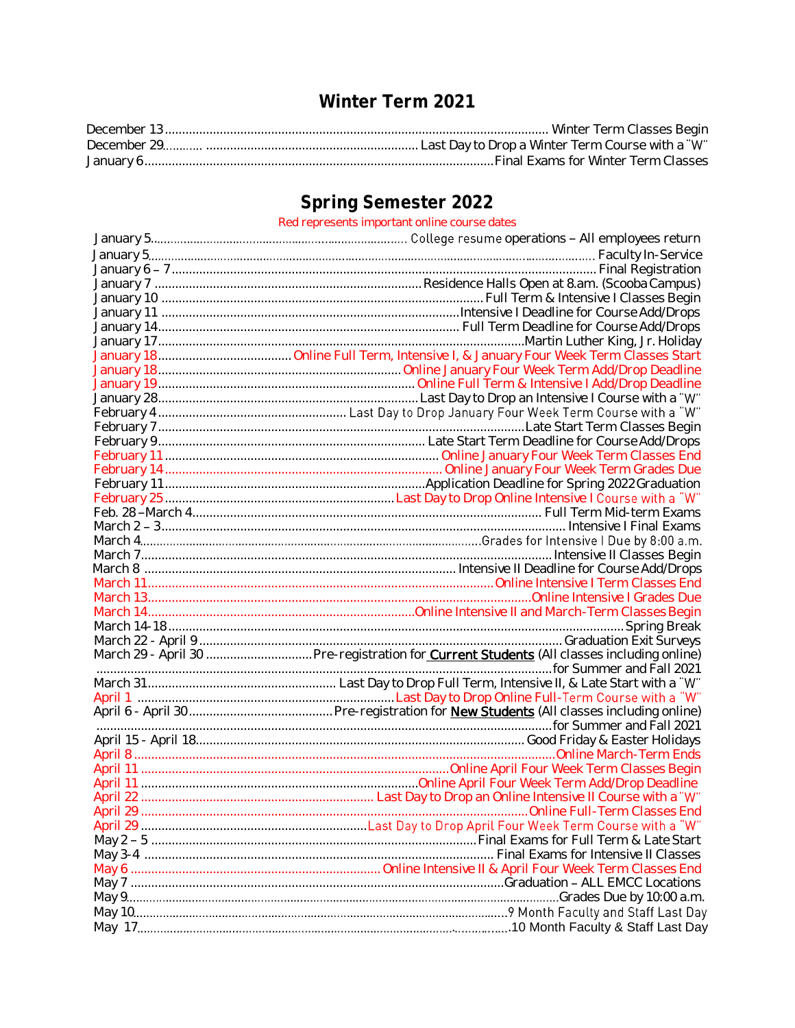## **Winter Term 2021**

# **Spring Semester 2022**

### Red represents important online course dates

| March 29 - April 30  Pre-registration for <b>Current Students</b> (All classes including online) |
|--------------------------------------------------------------------------------------------------|
|                                                                                                  |
|                                                                                                  |
|                                                                                                  |
|                                                                                                  |
|                                                                                                  |
|                                                                                                  |
|                                                                                                  |
|                                                                                                  |
|                                                                                                  |
|                                                                                                  |
| Online Full-Term Classes End                                                                     |
|                                                                                                  |
|                                                                                                  |
|                                                                                                  |
|                                                                                                  |
|                                                                                                  |
|                                                                                                  |
|                                                                                                  |
|                                                                                                  |